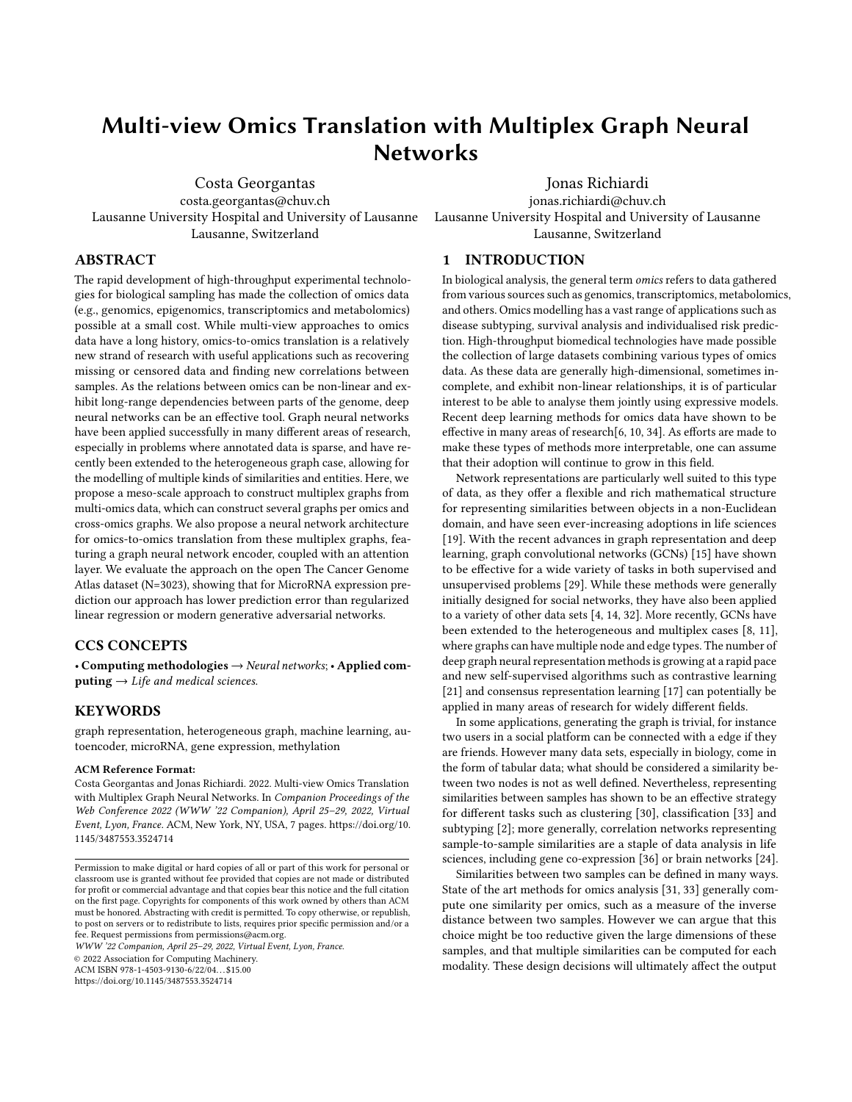# Multi-view Omics Translation with Multiplex Graph Neural Networks

Costa Georgantas costa.georgantas@chuv.ch Lausanne University Hospital and University of Lausanne Lausanne, Switzerland

Jonas Richiardi jonas.richiardi@chuv.ch Lausanne University Hospital and University of Lausanne Lausanne, Switzerland

# ABSTRACT

The rapid development of high-throughput experimental technologies for biological sampling has made the collection of omics data (e.g., genomics, epigenomics, transcriptomics and metabolomics) possible at a small cost. While multi-view approaches to omics data have a long history, omics-to-omics translation is a relatively new strand of research with useful applications such as recovering missing or censored data and finding new correlations between samples. As the relations between omics can be non-linear and exhibit long-range dependencies between parts of the genome, deep neural networks can be an effective tool. Graph neural networks have been applied successfully in many different areas of research, especially in problems where annotated data is sparse, and have recently been extended to the heterogeneous graph case, allowing for the modelling of multiple kinds of similarities and entities. Here, we propose a meso-scale approach to construct multiplex graphs from multi-omics data, which can construct several graphs per omics and cross-omics graphs. We also propose a neural network architecture for omics-to-omics translation from these multiplex graphs, featuring a graph neural network encoder, coupled with an attention layer. We evaluate the approach on the open The Cancer Genome Atlas dataset (N=3023), showing that for MicroRNA expression prediction our approach has lower prediction error than regularized linear regression or modern generative adversarial networks.

# CCS CONCEPTS

• Computing methodologies  $\rightarrow$  Neural networks; • Applied com $puting \rightarrow Life$  and medical sciences.

# **KEYWORDS**

graph representation, heterogeneous graph, machine learning, autoencoder, microRNA, gene expression, methylation

#### ACM Reference Format:

Costa Georgantas and Jonas Richiardi. 2022. Multi-view Omics Translation with Multiplex Graph Neural Networks. In Companion Proceedings of the Web Conference 2022 (WWW '22 Companion), April 25-29, 2022, Virtual Event, Lyon, France. ACM, New York, NY, USA, [7](#page-6-0) pages. [https://doi.org/10.](https://doi.org/10.1145/3487553.3524714) [1145/3487553.3524714](https://doi.org/10.1145/3487553.3524714)

WWW '22 Companion, April 25-29, 2022, Virtual Event, Lyon, France.

© 2022 Association for Computing Machinery.

ACM ISBN 978-1-4503-9130-6/22/04. . . \$15.00

<https://doi.org/10.1145/3487553.3524714>

# 1 INTRODUCTION

In biological analysis, the general term omics refers to data gathered from various sources such as genomics, transcriptomics, metabolomics, and others. Omics modelling has a vast range of applications such as disease subtyping, survival analysis and individualised risk prediction. High-throughput biomedical technologies have made possible the collection of large datasets combining various types of omics data. As these data are generally high-dimensional, sometimes incomplete, and exhibit non-linear relationships, it is of particular interest to be able to analyse them jointly using expressive models. Recent deep learning methods for omics data have shown to be effective in many areas of research[\[6,](#page-6-1) [10,](#page-6-2) [34\]](#page-6-3). As efforts are made to make these types of methods more interpretable, one can assume that their adoption will continue to grow in this field.

Network representations are particularly well suited to this type of data, as they offer a flexible and rich mathematical structure for representing similarities between objects in a non-Euclidean domain, and have seen ever-increasing adoptions in life sciences [\[19\]](#page-6-4). With the recent advances in graph representation and deep learning, graph convolutional networks (GCNs) [\[15\]](#page-6-5) have shown to be effective for a wide variety of tasks in both supervised and unsupervised problems [\[29\]](#page-6-6). While these methods were generally initially designed for social networks, they have also been applied to a variety of other data sets [\[4,](#page-6-7) [14,](#page-6-8) [32\]](#page-6-9). More recently, GCNs have been extended to the heterogeneous and multiplex cases [\[8,](#page-6-10) [11\]](#page-6-11), where graphs can have multiple node and edge types. The number of deep graph neural representation methods is growing at a rapid pace and new self-supervised algorithms such as contrastive learning [\[21\]](#page-6-12) and consensus representation learning [\[17\]](#page-6-13) can potentially be applied in many areas of research for widely different fields.

In some applications, generating the graph is trivial, for instance two users in a social platform can be connected with a edge if they are friends. However many data sets, especially in biology, come in the form of tabular data; what should be considered a similarity between two nodes is not as well defined. Nevertheless, representing similarities between samples has shown to be an effective strategy for different tasks such as clustering [\[30\]](#page-6-14), classification [\[33\]](#page-6-15) and subtyping [\[2\]](#page-5-0); more generally, correlation networks representing sample-to-sample similarities are a staple of data analysis in life sciences, including gene co-expression [\[36\]](#page-6-16) or brain networks [\[24\]](#page-6-17).

Similarities between two samples can be defined in many ways. State of the art methods for omics analysis [\[31,](#page-6-18) [33\]](#page-6-15) generally compute one similarity per omics, such as a measure of the inverse distance between two samples. However we can argue that this choice might be too reductive given the large dimensions of these samples, and that multiple similarities can be computed for each modality. These design decisions will ultimately affect the output

Permission to make digital or hard copies of all or part of this work for personal or classroom use is granted without fee provided that copies are not made or distributed for profit or commercial advantage and that copies bear this notice and the full citation on the first page. Copyrights for components of this work owned by others than ACM must be honored. Abstracting with credit is permitted. To copy otherwise, or republish, to post on servers or to redistribute to lists, requires prior specific permission and/or a fee. Request permissions from permissions@acm.org.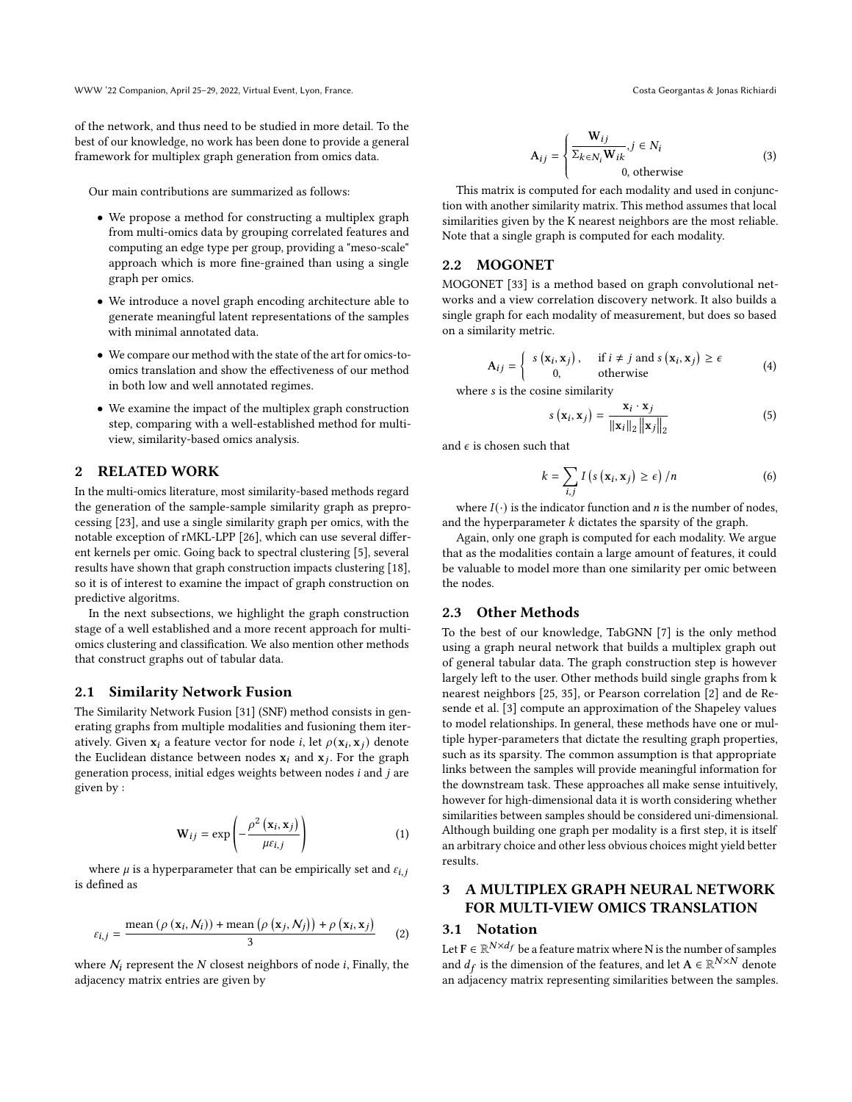WWW '22 Companion, April 25–29, 2022, Virtual Event, Lyon, France. Costa Georgantas & Jonas Richiardi

of the network, and thus need to be studied in more detail. To the best of our knowledge, no work has been done to provide a general framework for multiplex graph generation from omics data.

Our main contributions are summarized as follows:

- We propose a method for constructing a multiplex graph from multi-omics data by grouping correlated features and computing an edge type per group, providing a "meso-scale" approach which is more fine-grained than using a single graph per omics.
- We introduce a novel graph encoding architecture able to generate meaningful latent representations of the samples with minimal annotated data.
- We compare our method with the state of the art for omics-toomics translation and show the effectiveness of our method in both low and well annotated regimes.
- We examine the impact of the multiplex graph construction step, comparing with a well-established method for multiview, similarity-based omics analysis.

# 2 RELATED WORK

In the multi-omics literature, most similarity-based methods regard the generation of the sample-sample similarity graph as preprocessing [\[23\]](#page-6-19), and use a single similarity graph per omics, with the notable exception of rMKL-LPP [\[26\]](#page-6-20), which can use several different kernels per omic. Going back to spectral clustering [\[5\]](#page-6-21), several results have shown that graph construction impacts clustering [\[18\]](#page-6-22), so it is of interest to examine the impact of graph construction on predictive algoritms.

In the next subsections, we highlight the graph construction stage of a well established and a more recent approach for multiomics clustering and classification. We also mention other methods that construct graphs out of tabular data.

## 2.1 Similarity Network Fusion

The Similarity Network Fusion [\[31\]](#page-6-18) (SNF) method consists in generating graphs from multiple modalities and fusioning them iteratively. Given  $\mathbf{x}_i$  a feature vector for node  $i$ , let  $\rho(\mathbf{x}_i, \mathbf{x}_j)$  denote the Euclidean distance between nodes  $\mathbf{x}_i$  and  $\mathbf{x}_j$ . For the graph generation process, initial edges weights between nodes  $i$  and  $j$  are given by :

$$
\mathbf{W}_{ij} = \exp\left(-\frac{\rho^2\left(\mathbf{x}_i, \mathbf{x}_j\right)}{\mu\epsilon_{i,j}}\right) \tag{1}
$$

where  $\mu$  is a hyperparameter that can be empirically set and  $\varepsilon_{i,j}$ is defined as

$$
\varepsilon_{i,j} = \frac{\text{mean} \left( \rho \left( \mathbf{x}_i, N_i \right) \right) + \text{mean} \left( \rho \left( \mathbf{x}_j, N_j \right) \right) + \rho \left( \mathbf{x}_i, \mathbf{x}_j \right)}{3} \tag{2}
$$

where  $N_i$  represent the  $N$  closest neighbors of node  $i$ , Finally, the adjacency matrix entries are given by

$$
\mathbf{A}_{ij} = \begin{cases} \n\mathbf{W}_{ij} & j \in N_i \\ \n\sum_{k \in N_i} \mathbf{W}_{ik} & j \in N_i \\ \n0, \text{ otherwise} \n\end{cases} \tag{3}
$$

 This matrix is computed for each modality and used in conjunction with another similarity matrix. This method assumes that local similarities given by the K nearest neighbors are the most reliable. Note that a single graph is computed for each modality.

## 2.2 MOGONET

MOGONET [\[33\]](#page-6-15) is a method based on graph convolutional networks and a view correlation discovery network. It also builds a single graph for each modality of measurement, but does so based on a similarity metric.

<span id="page-1-0"></span>
$$
\mathbf{A}_{ij} = \begin{cases} s(\mathbf{x}_i, \mathbf{x}_j), & \text{if } i \neq j \text{ and } s(\mathbf{x}_i, \mathbf{x}_j) \geq \epsilon \\ 0, & \text{otherwise} \end{cases} \tag{4}
$$

where *s* is the cosine similarity

$$
s\left(\mathbf{x}_{i}, \mathbf{x}_{j}\right) = \frac{\mathbf{x}_{i} \cdot \mathbf{x}_{j}}{\|\mathbf{x}_{i}\|_{2} \|\mathbf{x}_{j}\|_{2}}
$$
(5)

and  $\epsilon$  is chosen such that

$$
k = \sum_{i,j} I\left(s\left(\mathbf{x}_i, \mathbf{x}_j\right) \geq \epsilon\right) / n \tag{6}
$$

where  $I(\cdot)$  is the indicator function and *n* is the number of nodes, and the hyperparameter  $k$  dictates the sparsity of the graph.

Again, only one graph is computed for each modality. We argue that as the modalities contain a large amount of features, it could be valuable to model more than one similarity per omic between the nodes.

# 2.3 Other Methods

To the best of our knowledge, TabGNN [\[7\]](#page-6-23) is the only method using a graph neural network that builds a multiplex graph out of general tabular data. The graph construction step is however largely left to the user. Other methods build single graphs from k nearest neighbors [\[25,](#page-6-24) [35\]](#page-6-25), or Pearson correlation [\[2\]](#page-5-0) and de Resende et al. [\[3\]](#page-6-26) compute an approximation of the Shapeley values to model relationships. In general, these methods have one or multiple hyper-parameters that dictate the resulting graph properties, such as its sparsity. The common assumption is that appropriate links between the samples will provide meaningful information for the downstream task. These approaches all make sense intuitively, however for high-dimensional data it is worth considering whether similarities between samples should be considered uni-dimensional. Although building one graph per modality is a first step, it is itself an arbitrary choice and other less obvious choices might yield better results.

# 3 A MULTIPLEX GRAPH NEURAL NETWORK FOR MULTI-VIEW OMICS TRANSLATION

# 3.1 Notation

Let  $\mathrm{F}\in \mathbb{R}^{N\times d_f}$  be a feature matrix where N is the number of samples and  $d_f$  is the dimension of the features, and let  $\mathbf{A} \in \mathbb{R}^{N \times N}$  denote an adjacency matrix representing similarities between the samples.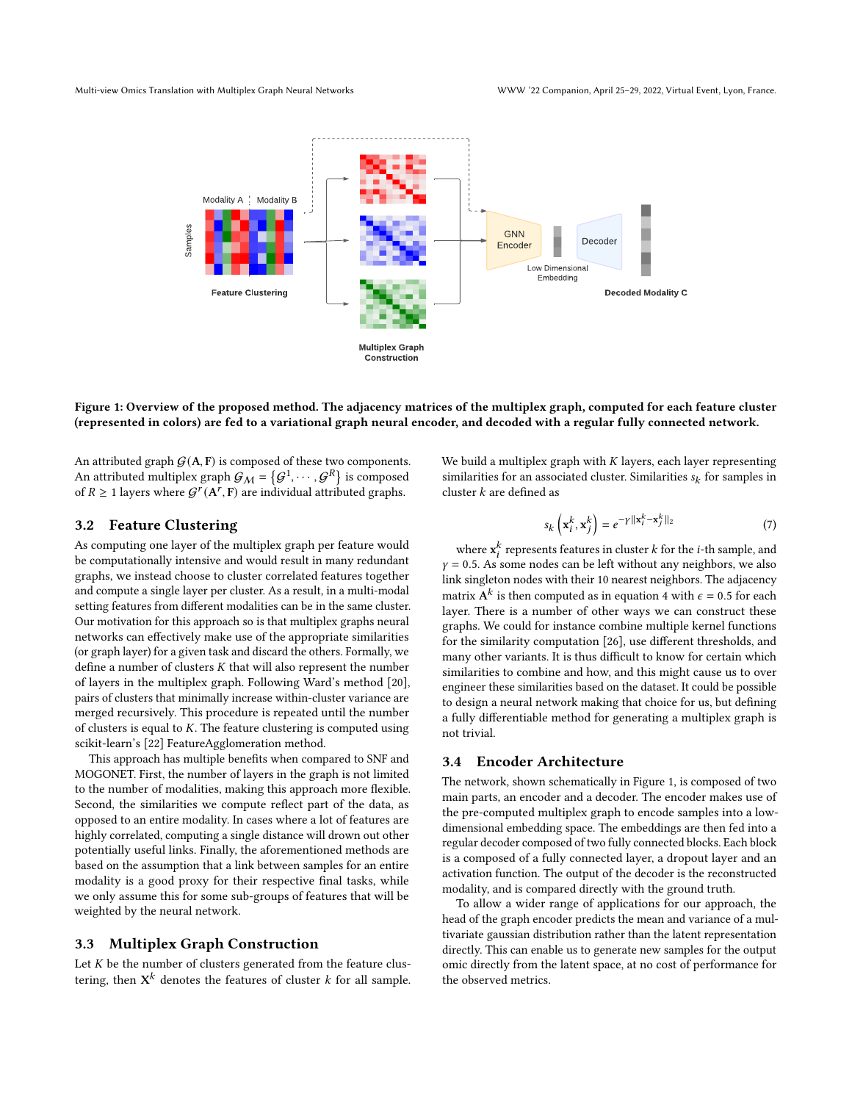<span id="page-2-0"></span>

## Figure 1: Overview of the proposed method. The adjacency matrices of the multiplex graph, computed for each feature cluster (represented in colors) are fed to a variational graph neural encoder, and decoded with a regular fully connected network.

An attributed graph  $G(A, F)$  is composed of these two components. An attributed multiplex graph  $\mathcal{G}_\mathcal{M} = \left\{\mathcal{G}^1, \cdots, \mathcal{G}^R\right\}$  is composed of  $R \geq 1$  layers where  $G^{r}(A^{r}, F)$  are individual attributed graphs.

We build a multiplex graph with  $K$  layers, each layer representing similarities for an associated cluster. Similarities  $s_{\boldsymbol{k}}$  for samples in cluster  $k$  are defined as

# 3.2 Feature Clustering

As computing one layer of the multiplex graph per feature would be computationally intensive and would result in many redundant graphs, we instead choose to cluster correlated features together and compute a single layer per cluster. As a result, in a multi-modal setting features from different modalities can be in the same cluster. Our motivation for this approach so is that multiplex graphs neural networks can effectively make use of the appropriate similarities (or graph layer) for a given task and discard the others. Formally, we define a number of clusters  $K$  that will also represent the number of layers in the multiplex graph. Following Ward's method [\[20\]](#page-6-27), pairs of clusters that minimally increase within-cluster variance are merged recursively. This procedure is repeated until the number of clusters is equal to  $K$ . The feature clustering is computed using scikit-learn's [\[22\]](#page-6-28) FeatureAgglomeration method.

This approach has multiple benefits when compared to SNF and MOGONET. First, the number of layers in the graph is not limited to the number of modalities, making this approach more flexible. Second, the similarities we compute reflect part of the data, as opposed to an entire modality. In cases where a lot of features are highly correlated, computing a single distance will drown out other potentially useful links. Finally, the aforementioned methods are based on the assumption that a link between samples for an entire modality is a good proxy for their respective final tasks, while we only assume this for some sub-groups of features that will be weighted by the neural network.

#### 3.3 Multiplex Graph Construction

Let  $K$  be the number of clusters generated from the feature clustering, then  $\mathrm{X}^k$  denotes the features of cluster  $k$  for all sample.  $s_k\left(\mathbf{x}_i^k,\mathbf{x}_j^k\right)=e^{-\gamma\|\mathbf{x}_i^k-\mathbf{x}_j^k\|_2}$ (7)

where  $\mathbf{x}_i^k$  represents features in cluster  $k$  for the *i*-th sample, and  $\gamma = 0.5$ . As some nodes can be left without any neighbors, we also link singleton nodes with their 10 nearest neighbors. The adjacency matrix  $\boldsymbol{\rm{A}}^{k}$  is then computed as in equation [4](#page-1-0) with  $\epsilon=$  0.5 for each layer. There is a number of other ways we can construct these graphs. We could for instance combine multiple kernel functions for the similarity computation [\[26\]](#page-6-20), use different thresholds, and many other variants. It is thus difficult to know for certain which similarities to combine and how, and this might cause us to over engineer these similarities based on the dataset. It could be possible to design a neural network making that choice for us, but defining a fully differentiable method for generating a multiplex graph is not trivial.

# 3.4 Encoder Architecture

The network, shown schematically in Figure [1,](#page-2-0) is composed of two main parts, an encoder and a decoder. The encoder makes use of the pre-computed multiplex graph to encode samples into a lowdimensional embedding space. The embeddings are then fed into a regular decoder composed of two fully connected blocks. Each block is a composed of a fully connected layer, a dropout layer and an activation function. The output of the decoder is the reconstructed modality, and is compared directly with the ground truth.

To allow a wider range of applications for our approach, the head of the graph encoder predicts the mean and variance of a multivariate gaussian distribution rather than the latent representation directly. This can enable us to generate new samples for the output omic directly from the latent space, at no cost of performance for the observed metrics.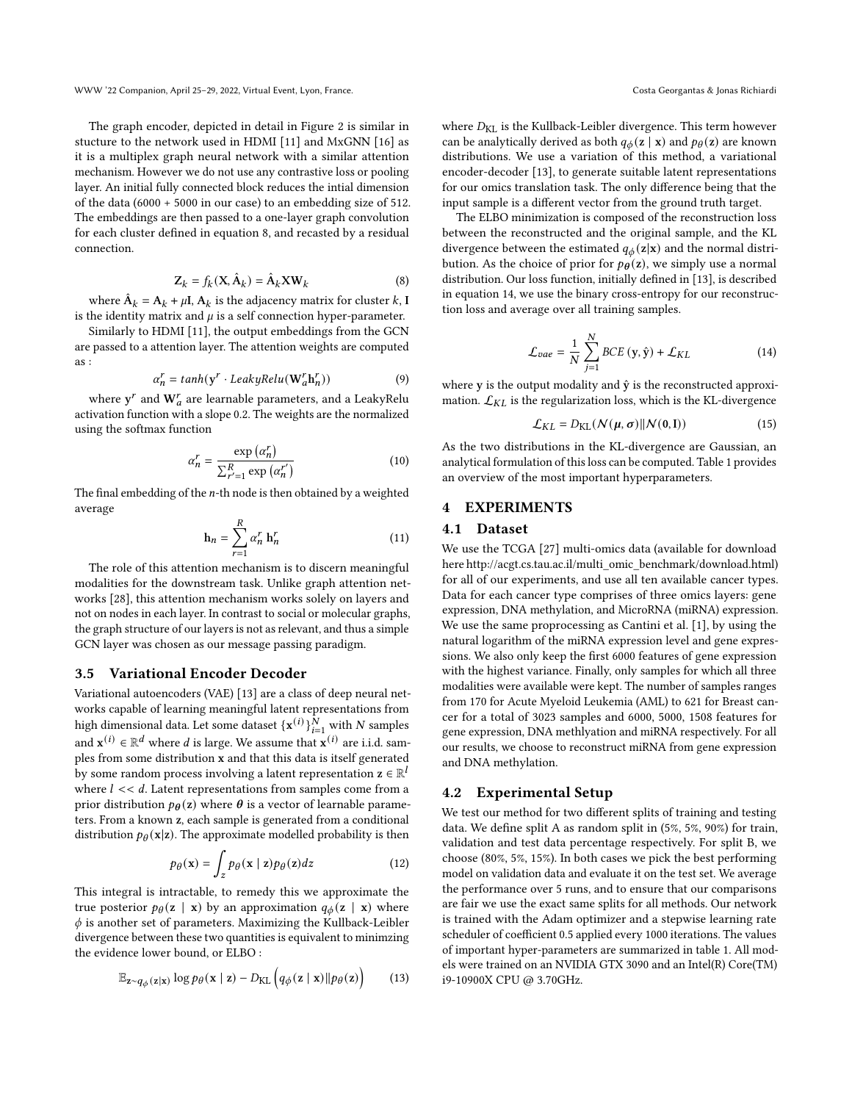The graph encoder, depicted in detail in Figure [2](#page-4-0) is similar in stucture to the network used in HDMI [\[11\]](#page-6-11) and MxGNN [\[16\]](#page-6-29) as it is a multiplex graph neural network with a similar attention mechanism. However we do not use any contrastive loss or pooling layer. An initial fully connected block reduces the intial dimension of the data (6000 + 5000 in our case) to an embedding size of 512. The embeddings are then passed to a one-layer graph convolution for each cluster defined in equation [8,](#page-3-0) and recasted by a residual connection.

<span id="page-3-0"></span>
$$
Z_k = f_k(X, \hat{A}_k) = \hat{A}_k X W_k
$$
 (8)

where  $\hat{\mathbf{A}}_k = \mathbf{A}_k + \mu \mathbf{I}$ ,  $\mathbf{A}_k$  is the adjacency matrix for cluster  $k$ ,  $\mathbf{I}$ is the identity matrix and  $\mu$  is a self connection hyper-parameter.

Similarly to HDMI [\[11\]](#page-6-11), the output embeddings from the GCN are passed to a attention layer. The attention weights are computed as :

$$
\alpha_n^r = \tanh(y^r \cdot \text{LeakyRelu}(\mathbf{W}_a^r \mathbf{h}_n^r)) \tag{9}
$$

where  $\mathbf{y}^{r}$  and  $\mathbf{W}_{a}^{r}$  are learnable parameters, and a LeakyRelu activation function with a slope 0.2. The weights are the normalized using the softmax function

$$
\alpha_n^r = \frac{\exp\left(\alpha_n^r\right)}{\sum_{r'=1}^R \exp\left(\alpha_n^{r'}\right)}\tag{10}
$$

The final embedding of the  $n$ -th node is then obtained by a weighted average

$$
\mathbf{h}_n = \sum_{r=1}^R \alpha_n^r \, \mathbf{h}_n^r \tag{11}
$$

The role of this attention mechanism is to discern meaningful modalities for the downstream task. Unlike graph attention networks [\[28\]](#page-6-30), this attention mechanism works solely on layers and not on nodes in each layer. In contrast to social or molecular graphs, the graph structure of our layers is not as relevant, and thus a simple GCN layer was chosen as our message passing paradigm.

## 3.5 Variational Encoder Decoder

Variational autoencoders (VAE) [\[13\]](#page-6-31) are a class of deep neural networks capable of learning meaningful latent representations from high dimensional data. Let some dataset  $\{x^{(i)}\}_{i=1}^N$  with N samples and  $\mathbf{x}^{(i)} \in \mathbb{R}^d$  where  $d$  is large. We assume that  $\mathbf{x}^{(i)}$  are i.i.d. samples from some distribution x and that this data is itself generated by some random process involving a latent representation  $\mathbf{z} \in \mathbb{R}^l$ where  $l \ll d$ . Latent representations from samples come from a prior distribution  $p_{\theta}(z)$  where  $\theta$  is a vector of learnable parameters. From a known z, each sample is generated from a conditional distribution  $p_{\theta}(\mathbf{x}|\mathbf{z})$ . The approximate modelled probability is then

$$
p_{\theta}(\mathbf{x}) = \int_{z} p_{\theta}(\mathbf{x} \mid \mathbf{z}) p_{\theta}(\mathbf{z}) dz \qquad (12)
$$

This integral is intractable, to remedy this we approximate the true posterior  $p_{\theta}(\mathbf{z} \mid \mathbf{x})$  by an approximation  $q_{\phi}(\mathbf{z} \mid \mathbf{x})$  where  $\phi$  is another set of parameters. Maximizing the Kullback-Leibler divergence between these two quantities is equivalent to minimzing the evidence lower bound, or ELBO :

$$
\mathbb{E}_{z \sim q_{\phi}(z|x)} \log p_{\theta}(x \mid z) - D_{\text{KL}}\left(q_{\phi}(z \mid x) \| p_{\theta}(z)\right) \tag{13}
$$

where  $D_{\text{KL}}$  is the Kullback-Leibler divergence. This term however can be analytically derived as both  $q_{\phi}(\mathbf{z} \mid \mathbf{x})$  and  $p_{\theta}(\mathbf{z})$  are known distributions. We use a variation of this method, a variational encoder-decoder [\[13\]](#page-6-31), to generate suitable latent representations for our omics translation task. The only difference being that the input sample is a different vector from the ground truth target.

The ELBO minimization is composed of the reconstruction loss between the reconstructed and the original sample, and the KL divergence between the estimated  $q_{\phi}(z|x)$  and the normal distribution. As the choice of prior for  $p_{\theta}(z)$ , we simply use a normal distribution. Our loss function, initially defined in [\[13\]](#page-6-31), is described in equation [14,](#page-3-1) we use the binary cross-entropy for our reconstruction loss and average over all training samples.

<span id="page-3-1"></span>
$$
\mathcal{L}_{vae} = \frac{1}{N} \sum_{j=1}^{N} BCE\left(\mathbf{y}, \hat{\mathbf{y}}\right) + \mathcal{L}_{KL}
$$
\n(14)

where y is the output modality and  $\hat{y}$  is the reconstructed approximation.  $\mathcal{L}_{KL}$  is the regularization loss, which is the KL-divergence

$$
\mathcal{L}_{KL} = D_{KL}(\mathcal{N}(\boldsymbol{\mu}, \boldsymbol{\sigma}) \| \mathcal{N}(\mathbf{0}, \mathbf{I}))
$$
\n(15)

As the two distributions in the KL-divergence are Gaussian, an analytical formulation of this loss can be computed. Table [1](#page-4-1) provides an overview of the most important hyperparameters.

## 4 EXPERIMENTS

# 4.1 Dataset

We use the TCGA [\[27\]](#page-6-32) multi-omics data (available for download here [http://acgt.cs.tau.ac.il/multi\\_omic\\_benchmark/download.html\)](http://acgt.cs.tau.ac.il/multi_omic_benchmark/download.html) for all of our experiments, and use all ten available cancer types. Data for each cancer type comprises of three omics layers: gene expression, DNA methylation, and MicroRNA (miRNA) expression. We use the same proprocessing as Cantini et al. [\[1\]](#page-5-1), by using the natural logarithm of the miRNA expression level and gene expressions. We also only keep the first 6000 features of gene expression with the highest variance. Finally, only samples for which all three modalities were available were kept. The number of samples ranges from 170 for Acute Myeloid Leukemia (AML) to 621 for Breast cancer for a total of 3023 samples and 6000, 5000, 1508 features for gene expression, DNA methlyation and miRNA respectively. For all our results, we choose to reconstruct miRNA from gene expression and DNA methylation.

## 4.2 Experimental Setup

We test our method for two different splits of training and testing data. We define split A as random split in (5%, 5%, 90%) for train, validation and test data percentage respectively. For split B, we choose (80%, 5%, 15%). In both cases we pick the best performing model on validation data and evaluate it on the test set. We average the performance over 5 runs, and to ensure that our comparisons are fair we use the exact same splits for all methods. Our network is trained with the Adam optimizer and a stepwise learning rate scheduler of coefficient 0.5 applied every 1000 iterations. The values of important hyper-parameters are summarized in table [1.](#page-4-1) All models were trained on an NVIDIA GTX 3090 and an Intel(R) Core(TM) i9-10900X CPU @ 3.70GHz.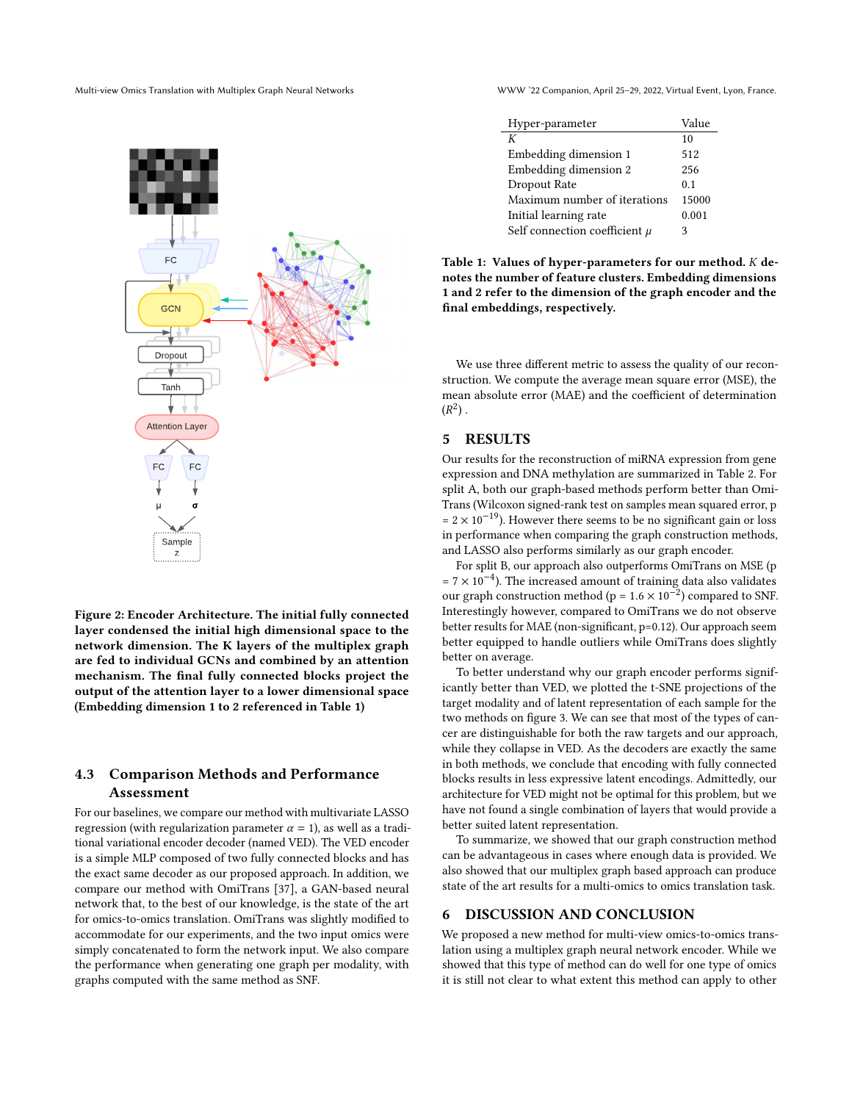<span id="page-4-0"></span>

 $\overline{\phantom{a}}$  $\overline{\phantom{a}}$ FC FC GCN GCN Dropout Dropout Tanh Tanh Attention Layer  $\mu$  ,  $\sigma$  $FC / \n\begin{array}{ccc} \n\end{array}$  FC Sample

Figure 2: Encoder Architecture. The initial fully connected layer condensed the initial high dimensional space to the network dimension. The K layers of the multiplex graph are fed to individual GCNs and combined by an attention mechanism. The final fully connected blocks project the output of the attention layer to a lower dimensional space (Embedding dimension 1 to 2 referenced in Table [1\)](#page-4-1)

z

# 4.3 Comparison Methods and Performance Assessment

For our baselines, we compare our method with multivariate LASSO regression (with regularization parameter  $\alpha = 1$ ), as well as a traditional variational encoder decoder (named VED). The VED encoder is a simple MLP composed of two fully connected blocks and has the exact same decoder as our proposed approach. In addition, we compare our method with OmiTrans [\[37\]](#page-6-33), a GAN-based neural network that, to the best of our knowledge, is the state of the art for omics-to-omics translation. OmiTrans was slightly modified to accommodate for our experiments, and the two input omics were simply concatenated to form the network input. We also compare the performance when generating one graph per modality, with graphs computed with the same method as SNF.

Multi-view Omics Translation with Multiplex Graph Neural Networks WWW '22 Companion, April 25–29, 2022, Virtual Event, Lyon, France.

<span id="page-4-1"></span>

| Hyper-parameter                   | Value |
|-----------------------------------|-------|
| К                                 | 10    |
| Embedding dimension 1             | 512   |
| Embedding dimension 2             | 256   |
| Dropout Rate                      | 0.1   |
| Maximum number of iterations      | 15000 |
| Initial learning rate             | 0.001 |
| Self connection coefficient $\mu$ | 3     |

Table 1: Values of hyper-parameters for our method.  $K$  denotes the number of feature clusters. Embedding dimensions 1 and 2 refer to the dimension of the graph encoder and the final embeddings, respectively.

We use three different metric to assess the quality of our reconstruction. We compute the average mean square error (MSE), the mean absolute error (MAE) and the coefficient of determination  $(R^2)$ .

# 5 RESULTS

Our results for the reconstruction of miRNA expression from gene expression and DNA methylation are summarized in Table [2.](#page-5-2) For split A, both our graph-based methods perform better than Omi-Trans (Wilcoxon signed-rank test on samples mean squared error, p  $= 2 \times 10^{-19}$ ). However there seems to be no significant gain or loss in performance when comparing the graph construction methods, and LASSO also performs similarly as our graph encoder.

For split B, our approach also outperforms OmiTrans on MSE (p  $= 7 \times 10^{-4}$ ). The increased amount of training data also validates our graph construction method (p =  $1.6 \times 10^{-2}$ ) compared to SNF. Interestingly however, compared to OmiTrans we do not observe better results for MAE (non-significant, p=0.12). Our approach seem better equipped to handle outliers while OmiTrans does slightly better on average.

To better understand why our graph encoder performs significantly better than VED, we plotted the t-SNE projections of the target modality and of latent representation of each sample for the two methods on figure [3.](#page-5-3) We can see that most of the types of cancer are distinguishable for both the raw targets and our approach, while they collapse in VED. As the decoders are exactly the same in both methods, we conclude that encoding with fully connected blocks results in less expressive latent encodings. Admittedly, our architecture for VED might not be optimal for this problem, but we have not found a single combination of layers that would provide a better suited latent representation.

To summarize, we showed that our graph construction method can be advantageous in cases where enough data is provided. We also showed that our multiplex graph based approach can produce state of the art results for a multi-omics to omics translation task.

## 6 DISCUSSION AND CONCLUSION

We proposed a new method for multi-view omics-to-omics translation using a multiplex graph neural network encoder. While we showed that this type of method can do well for one type of omics it is still not clear to what extent this method can apply to other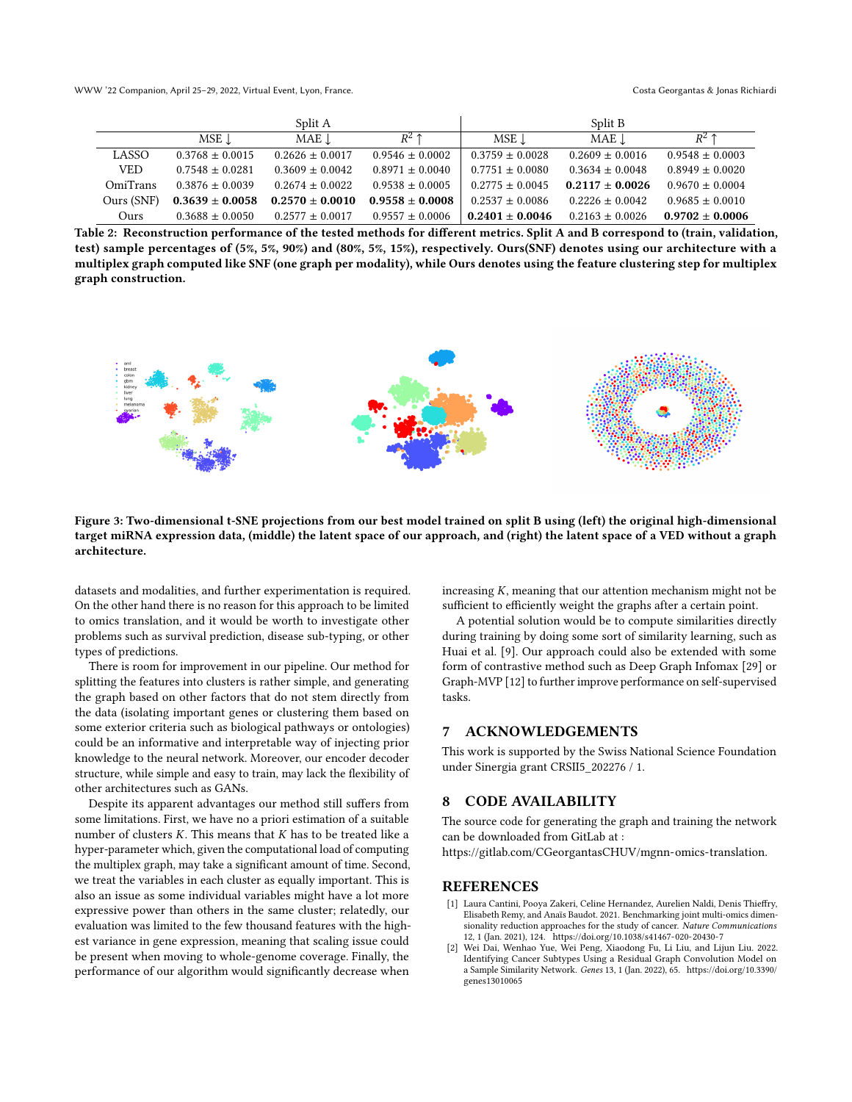WWW '22 Companion, April 25–29, 2022, Virtual Event, Lyon, France. Costa Georgantas & Jonas Richiardi

<span id="page-5-2"></span>

|            |                     | Split A             |                     |                     | Split B             |                     |
|------------|---------------------|---------------------|---------------------|---------------------|---------------------|---------------------|
|            | MSE J               | $MAE$ .             | $R^2$ 1             | MSE 1.              | $MAE$ .             | $R^2$ 1             |
| LASSO      | $0.3768 \pm 0.0015$ | $0.2626 \pm 0.0017$ | $0.9546 \pm 0.0002$ | $0.3759 \pm 0.0028$ | $0.2609 \pm 0.0016$ | $0.9548 \pm 0.0003$ |
| <b>VED</b> | $0.7548 \pm 0.0281$ | $0.3609 \pm 0.0042$ | $0.8971 \pm 0.0040$ | $0.7751 \pm 0.0080$ | $0.3634 \pm 0.0048$ | $0.8949 \pm 0.0020$ |
| OmiTrans   | $0.3876 \pm 0.0039$ | $0.2674 + 0.0022$   | $0.9538 \pm 0.0005$ | $0.2775 \pm 0.0045$ | $0.2117 \pm 0.0026$ | $0.9670 \pm 0.0004$ |
| Ours (SNF) | $0.3639 \pm 0.0058$ | $0.2570 \pm 0.0010$ | $0.9558 \pm 0.0008$ | $0.2537 \pm 0.0086$ | $0.2226 \pm 0.0042$ | $0.9685 \pm 0.0010$ |
| Ours       | $0.3688 \pm 0.0050$ | $0.2577 + 0.0017$   | $0.9557 \pm 0.0006$ | $0.2401 \pm 0.0046$ | $0.2163 \pm 0.0026$ | $0.9702 \pm 0.0006$ |

Table 2: Reconstruction performance of the tested methods for different metrics. Split A and B correspond to (train, validation, test) sample percentages of (5%, 5%, 90%) and (80%, 5%, 15%), respectively. Ours(SNF) denotes using our architecture with a multiplex graph computed like SNF (one graph per modality), while Ours denotes using the feature clustering step for multiplex graph construction.

<span id="page-5-3"></span>

Figure 3: Two-dimensional t-SNE projections from our best model trained on split B using (left) the original high-dimensional target miRNA expression data, (middle) the latent space of our approach, and (right) the latent space of a VED without a graph architecture.

datasets and modalities, and further experimentation is required. On the other hand there is no reason for this approach to be limited to omics translation, and it would be worth to investigate other problems such as survival prediction, disease sub-typing, or other types of predictions.

There is room for improvement in our pipeline. Our method for splitting the features into clusters is rather simple, and generating the graph based on other factors that do not stem directly from the data (isolating important genes or clustering them based on some exterior criteria such as biological pathways or ontologies) could be an informative and interpretable way of injecting prior knowledge to the neural network. Moreover, our encoder decoder structure, while simple and easy to train, may lack the flexibility of other architectures such as GANs.

Despite its apparent advantages our method still suffers from some limitations. First, we have no a priori estimation of a suitable number of clusters  $K$ . This means that  $K$  has to be treated like a hyper-parameter which, given the computational load of computing the multiplex graph, may take a significant amount of time. Second, we treat the variables in each cluster as equally important. This is also an issue as some individual variables might have a lot more expressive power than others in the same cluster; relatedly, our evaluation was limited to the few thousand features with the highest variance in gene expression, meaning that scaling issue could be present when moving to whole-genome coverage. Finally, the performance of our algorithm would significantly decrease when

increasing  $K$ , meaning that our attention mechanism might not be sufficient to efficiently weight the graphs after a certain point.

A potential solution would be to compute similarities directly during training by doing some sort of similarity learning, such as Huai et al. [\[9\]](#page-6-34). Our approach could also be extended with some form of contrastive method such as Deep Graph Infomax [\[29\]](#page-6-6) or Graph-MVP [\[12\]](#page-6-35) to further improve performance on self-supervised tasks.

## 7 ACKNOWLEDGEMENTS

This work is supported by the Swiss National Science Foundation under Sinergia grant CRSII5\_202276 / 1.

# 8 CODE AVAILABILITY

The source code for generating the graph and training the network can be downloaded from GitLab at :

[https://gitlab.com/CGeorgantasCHUV/mgnn-omics-translation.](https://gitlab.com/CGeorgantasCHUV/mgnn-omics-translation)

# **REFERENCES**

- <span id="page-5-1"></span>[1] Laura Cantini, Pooya Zakeri, Celine Hernandez, Aurelien Naldi, Denis Thieffry, Elisabeth Remy, and Anaïs Baudot. 2021. Benchmarking joint multi-omics dimensionality reduction approaches for the study of cancer. Nature Communications 12, 1 (Jan. 2021), 124.<https://doi.org/10.1038/s41467-020-20430-7>
- <span id="page-5-0"></span>[2] Wei Dai, Wenhao Yue, Wei Peng, Xiaodong Fu, Li Liu, and Lijun Liu. 2022. Identifying Cancer Subtypes Using a Residual Graph Convolution Model on a Sample Similarity Network. Genes 13, 1 (Jan. 2022), 65. [https://doi.org/10.3390/](https://doi.org/10.3390/genes13010065) [genes13010065](https://doi.org/10.3390/genes13010065)